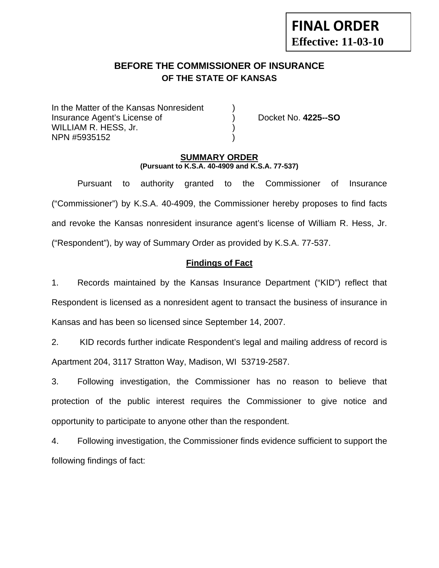# **FINAL ORDER Effective: 11-03-10**

# **BEFORE THE COMMISSIONER OF INSURANCE OF THE STATE OF KANSAS**

In the Matter of the Kansas Nonresident Insurance Agent's License of ) Docket No. **4225--SO** WILLIAM R. HESS, Jr. NPN #5935152 )

#### **SUMMARY ORDER (Pursuant to K.S.A. 40-4909 and K.S.A. 77-537)**

 Pursuant to authority granted to the Commissioner of Insurance ("Commissioner") by K.S.A. 40-4909, the Commissioner hereby proposes to find facts and revoke the Kansas nonresident insurance agent's license of William R. Hess, Jr. ("Respondent"), by way of Summary Order as provided by K.S.A. 77-537.

## **Findings of Fact**

1. Records maintained by the Kansas Insurance Department ("KID") reflect that Respondent is licensed as a nonresident agent to transact the business of insurance in Kansas and has been so licensed since September 14, 2007.

2. KID records further indicate Respondent's legal and mailing address of record is Apartment 204, 3117 Stratton Way, Madison, WI 53719-2587.

3. Following investigation, the Commissioner has no reason to believe that protection of the public interest requires the Commissioner to give notice and opportunity to participate to anyone other than the respondent.

4. Following investigation, the Commissioner finds evidence sufficient to support the following findings of fact: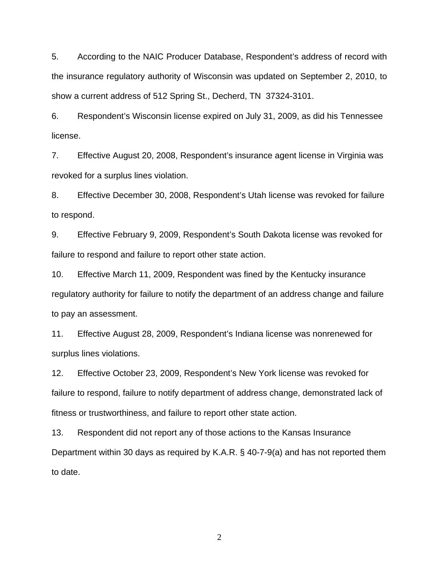5. According to the NAIC Producer Database, Respondent's address of record with the insurance regulatory authority of Wisconsin was updated on September 2, 2010, to show a current address of 512 Spring St., Decherd, TN 37324-3101.

6. Respondent's Wisconsin license expired on July 31, 2009, as did his Tennessee license.

7. Effective August 20, 2008, Respondent's insurance agent license in Virginia was revoked for a surplus lines violation.

8. Effective December 30, 2008, Respondent's Utah license was revoked for failure to respond.

9. Effective February 9, 2009, Respondent's South Dakota license was revoked for failure to respond and failure to report other state action.

10. Effective March 11, 2009, Respondent was fined by the Kentucky insurance regulatory authority for failure to notify the department of an address change and failure to pay an assessment.

11. Effective August 28, 2009, Respondent's Indiana license was nonrenewed for surplus lines violations.

12. Effective October 23, 2009, Respondent's New York license was revoked for failure to respond, failure to notify department of address change, demonstrated lack of fitness or trustworthiness, and failure to report other state action.

13. Respondent did not report any of those actions to the Kansas Insurance Department within 30 days as required by K.A.R. § 40-7-9(a) and has not reported them to date.

2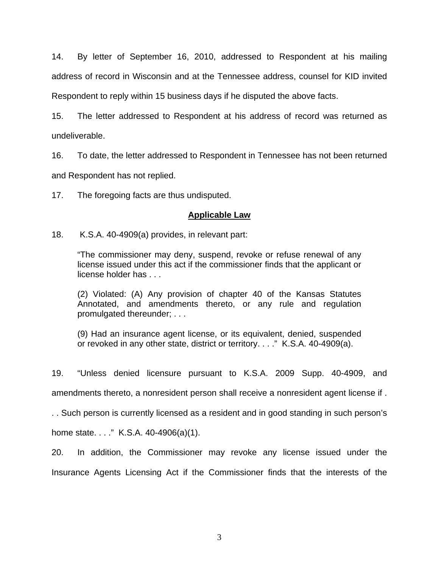14. By letter of September 16, 2010, addressed to Respondent at his mailing address of record in Wisconsin and at the Tennessee address, counsel for KID invited Respondent to reply within 15 business days if he disputed the above facts.

15. The letter addressed to Respondent at his address of record was returned as undeliverable.

16. To date, the letter addressed to Respondent in Tennessee has not been returned and Respondent has not replied.

17. The foregoing facts are thus undisputed.

#### **Applicable Law**

18. K.S.A. 40-4909(a) provides, in relevant part:

"The commissioner may deny, suspend, revoke or refuse renewal of any license issued under this act if the commissioner finds that the applicant or license holder has . . .

(2) Violated: (A) Any provision of chapter 40 of the Kansas Statutes Annotated, and amendments thereto, or any rule and regulation promulgated thereunder; . . .

(9) Had an insurance agent license, or its equivalent, denied, suspended or revoked in any other state, district or territory. . . ." K.S.A. 40-4909(a).

19. "Unless denied licensure pursuant to K.S.A. 2009 Supp. 40-4909, and amendments thereto, a nonresident person shall receive a nonresident agent license if .

. . Such person is currently licensed as a resident and in good standing in such person's

home state. . . ." K.S.A. 40-4906(a)(1).

20. In addition, the Commissioner may revoke any license issued under the Insurance Agents Licensing Act if the Commissioner finds that the interests of the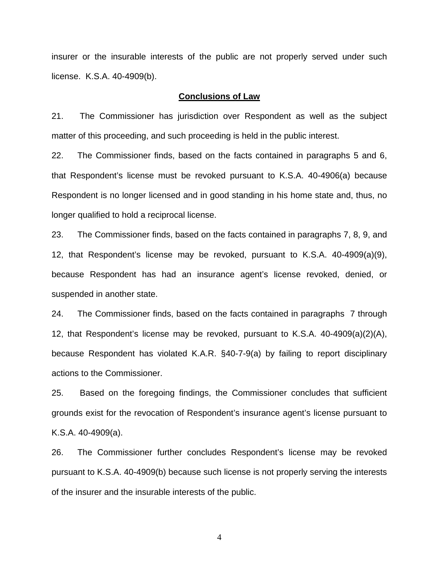insurer or the insurable interests of the public are not properly served under such license. K.S.A. 40-4909(b).

#### **Conclusions of Law**

21. The Commissioner has jurisdiction over Respondent as well as the subject matter of this proceeding, and such proceeding is held in the public interest.

22. The Commissioner finds, based on the facts contained in paragraphs 5 and 6, that Respondent's license must be revoked pursuant to K.S.A. 40-4906(a) because Respondent is no longer licensed and in good standing in his home state and, thus, no longer qualified to hold a reciprocal license.

23. The Commissioner finds, based on the facts contained in paragraphs 7, 8, 9, and 12, that Respondent's license may be revoked, pursuant to K.S.A. 40-4909(a)(9), because Respondent has had an insurance agent's license revoked, denied, or suspended in another state.

24. The Commissioner finds, based on the facts contained in paragraphs 7 through 12, that Respondent's license may be revoked, pursuant to K.S.A. 40-4909(a)(2)(A), because Respondent has violated K.A.R. §40-7-9(a) by failing to report disciplinary actions to the Commissioner.

25. Based on the foregoing findings, the Commissioner concludes that sufficient grounds exist for the revocation of Respondent's insurance agent's license pursuant to K.S.A. 40-4909(a).

26. The Commissioner further concludes Respondent's license may be revoked pursuant to K.S.A. 40-4909(b) because such license is not properly serving the interests of the insurer and the insurable interests of the public.

4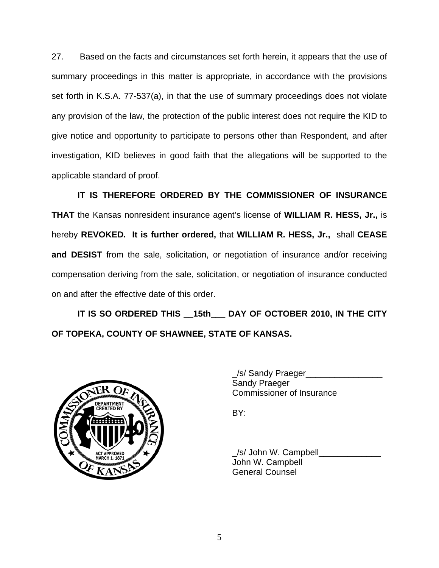27. Based on the facts and circumstances set forth herein, it appears that the use of summary proceedings in this matter is appropriate, in accordance with the provisions set forth in K.S.A. 77-537(a), in that the use of summary proceedings does not violate any provision of the law, the protection of the public interest does not require the KID to give notice and opportunity to participate to persons other than Respondent, and after investigation, KID believes in good faith that the allegations will be supported to the applicable standard of proof.

 **IT IS THEREFORE ORDERED BY THE COMMISSIONER OF INSURANCE THAT** the Kansas nonresident insurance agent's license of **WILLIAM R. HESS, Jr.,** is hereby **REVOKED. It is further ordered,** that **WILLIAM R. HESS, Jr.,** shall **CEASE and DESIST** from the sale, solicitation, or negotiation of insurance and/or receiving compensation deriving from the sale, solicitation, or negotiation of insurance conducted on and after the effective date of this order.

 **IT IS SO ORDERED THIS \_\_15th\_\_\_ DAY OF OCTOBER 2010, IN THE CITY OF TOPEKA, COUNTY OF SHAWNEE, STATE OF KANSAS.** 



 \_/s/ Sandy Praeger\_\_\_\_\_\_\_\_\_\_\_\_\_\_\_\_ Sandy Praeger Commissioner of Insurance

 \_/s/ John W. Campbell\_\_\_\_\_\_\_\_\_\_\_\_\_ John W. Campbell General Counsel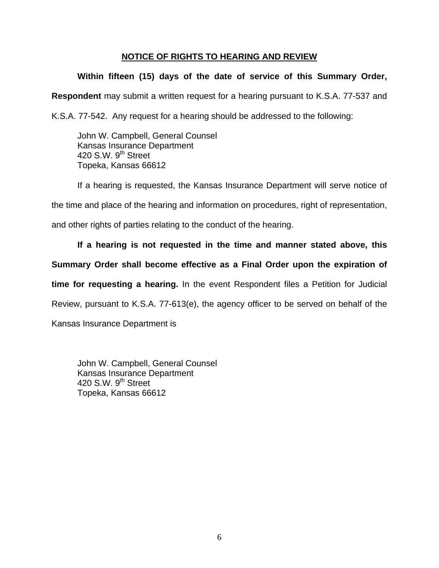### **NOTICE OF RIGHTS TO HEARING AND REVIEW**

## **Within fifteen (15) days of the date of service of this Summary Order,**

**Respondent** may submit a written request for a hearing pursuant to K.S.A. 77-537 and

K.S.A. 77-542. Any request for a hearing should be addressed to the following:

 John W. Campbell, General Counsel Kansas Insurance Department 420 S.W. 9<sup>th</sup> Street Topeka, Kansas 66612

If a hearing is requested, the Kansas Insurance Department will serve notice of the time and place of the hearing and information on procedures, right of representation, and other rights of parties relating to the conduct of the hearing.

**If a hearing is not requested in the time and manner stated above, this Summary Order shall become effective as a Final Order upon the expiration of time for requesting a hearing.** In the event Respondent files a Petition for Judicial Review, pursuant to K.S.A. 77-613(e), the agency officer to be served on behalf of the Kansas Insurance Department is

 John W. Campbell, General Counsel Kansas Insurance Department 420 S.W.  $9<sup>th</sup>$  Street Topeka, Kansas 66612